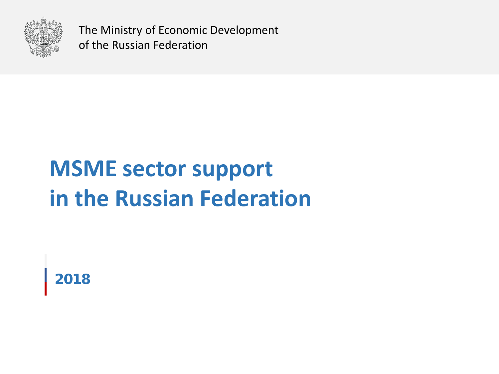

The Ministry of Economic Development of the Russian Federation

# **MSME sector support in the Russian Federation**

**2018**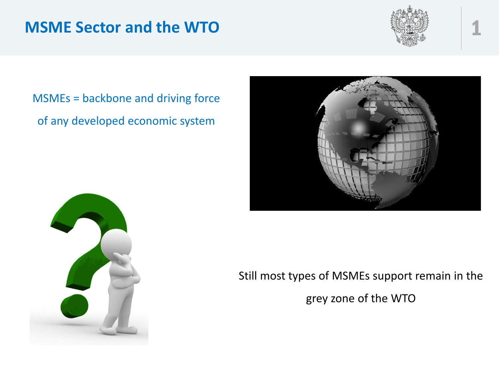#### **MSME Sector and the WTO**



## MSMEs = backbone and driving force of any developed economic system





Still most types of MSMEs support remain in the

grey zone of the WTO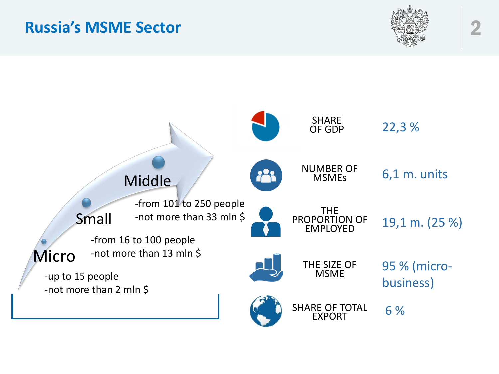#### **Russia's MSME Sector** 2



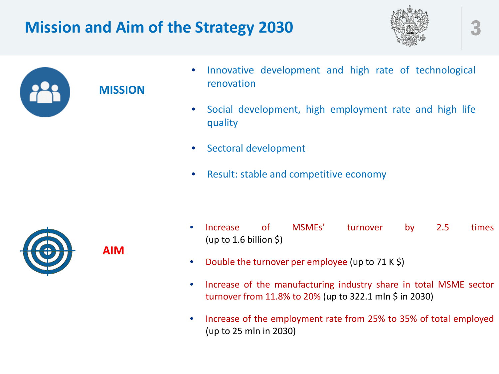# **Mission and Aim of the Strategy 2030**





#### **MISSION**

**AIM**

- Innovative development and high rate of technological renovation
- Social development, high employment rate and high life quality
- Sectoral development
- Result: stable and competitive economy



- Increase of MSMEs' turnover by 2.5 times (up to 1.6 billion  $\zeta$ )
- Double the turnover per employee (up to 71 K \$)
- Increase of the manufacturing industry share in total MSME sector turnover from 11.8% to 20% (up to 322.1 mln \$ in 2030)
- Increase of the employment rate from 25% to 35% of total employed (up to 25 mln in 2030)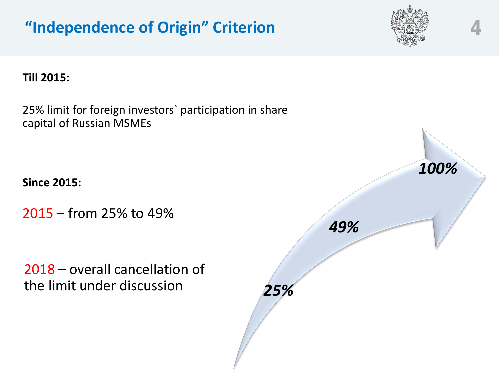

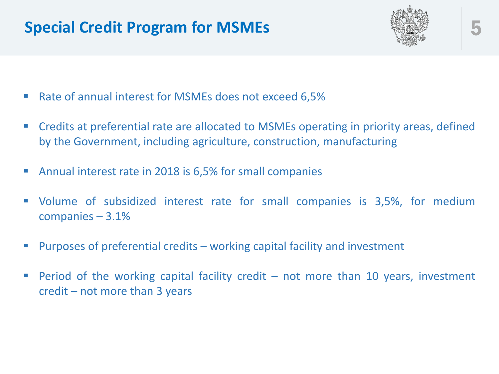### **Special Credit Program for MSMEs**



- Rate of annual interest for MSMEs does not exceed 6,5%
- Credits at preferential rate are allocated to MSMEs operating in priority areas, defined by the Government, including agriculture, construction, manufacturing
- Annual interest rate in 2018 is 6,5% for small companies
- Volume of subsidized interest rate for small companies is 3,5%, for medium companies – 3.1%
- Purposes of preferential credits working capital facility and investment
- **Period of the working capital facility credit not more than 10 years, investment** credit – not more than 3 years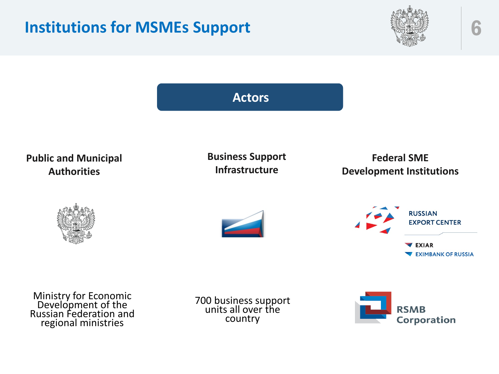





Ministry for Economic Development of the Russian Federation and regional ministries

700 business support units all over the country

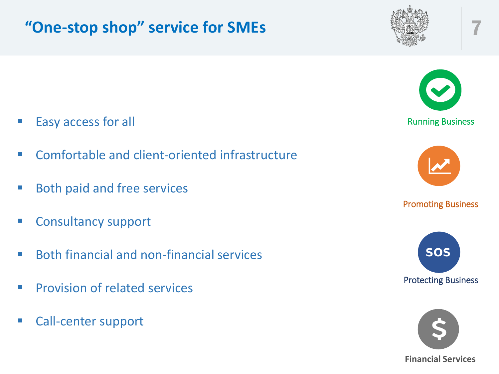# **"One-stop shop" service for SMEs** 7





- Comfortable and client-oriented infrastructure
- **Both paid and free services**
- Consultancy support
- Both financial and non-financial services
- **Provision of related services**
- Call-center support

Running Business

Promoting Business



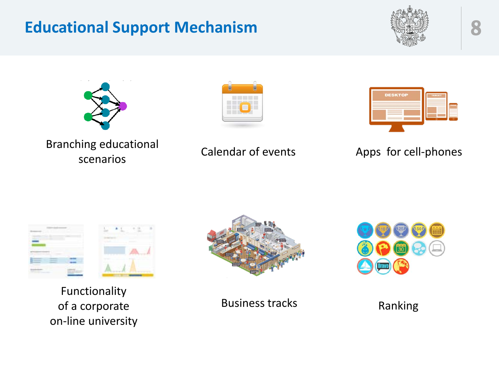### **Educational Support Mechanism**









Branching educational scenarios Calendar of events Apps for cell-phones





Functionality of a corporate on-line university



Business tracks Ranking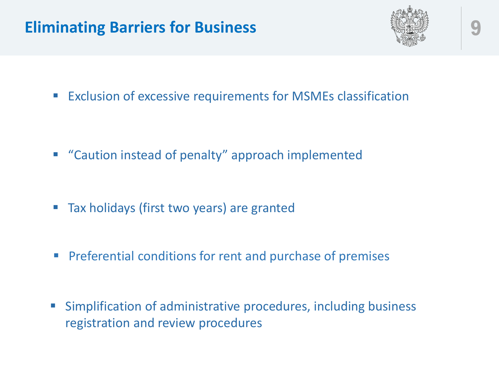### **Eliminating Barriers for Business**



**Exclusion of excessive requirements for MSMEs classification** 

- "Caution instead of penalty" approach implemented
- Tax holidays (first two years) are granted
- **Preferential conditions for rent and purchase of premises**
- Simplification of administrative procedures, including business registration and review procedures